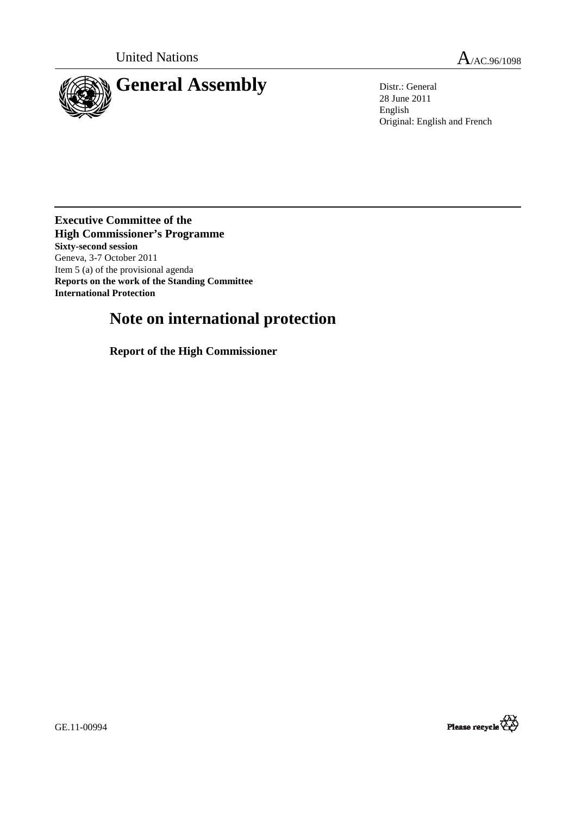

28 June 2011 English Original: English and French

**Executive Committee of the High Commissioner's Programme Sixty-second session**  Geneva, 3-7 October 2011 Item 5 (a) of the provisional agenda **Reports on the work of the Standing Committee International Protection** 

# **Note on international protection**

 **Report of the High Commissioner** 



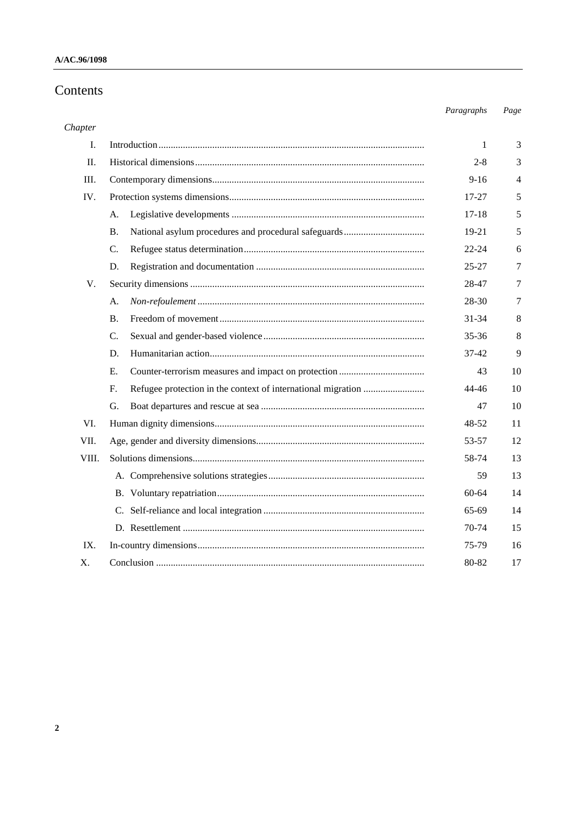# Contents

| Paragraphs | Page |
|------------|------|
|            |      |

| Chapter |             |           |    |
|---------|-------------|-----------|----|
| I.      |             | 1         | 3  |
| П.      |             | $2 - 8$   | 3  |
| III.    |             | $9 - 16$  | 4  |
| IV.     |             | 17-27     | 5  |
|         | A.          | $17 - 18$ | 5  |
|         | <b>B.</b>   | $19-21$   | 5  |
|         | C.          | $22 - 24$ | 6  |
|         | D.          | $25 - 27$ | 7  |
| V.      |             | 28-47     | 7  |
|         | А.          | 28-30     | 7  |
|         | <b>B.</b>   | $31 - 34$ | 8  |
|         | $C_{\cdot}$ | $35 - 36$ | 8  |
|         | D.          | $37 - 42$ | 9  |
|         | Е.          | 43        | 10 |
|         | F.          | 44-46     | 10 |
|         | G.          | 47        | 10 |
| VI.     |             | 48-52     | 11 |
| VII.    |             | 53-57     | 12 |
| VIII.   |             | 58-74     | 13 |
|         |             | 59        | 13 |
|         |             | 60-64     | 14 |
|         |             | 65-69     | 14 |
|         |             | 70-74     | 15 |
| IX.     |             | 75-79     | 16 |
| X.      |             | 80-82     | 17 |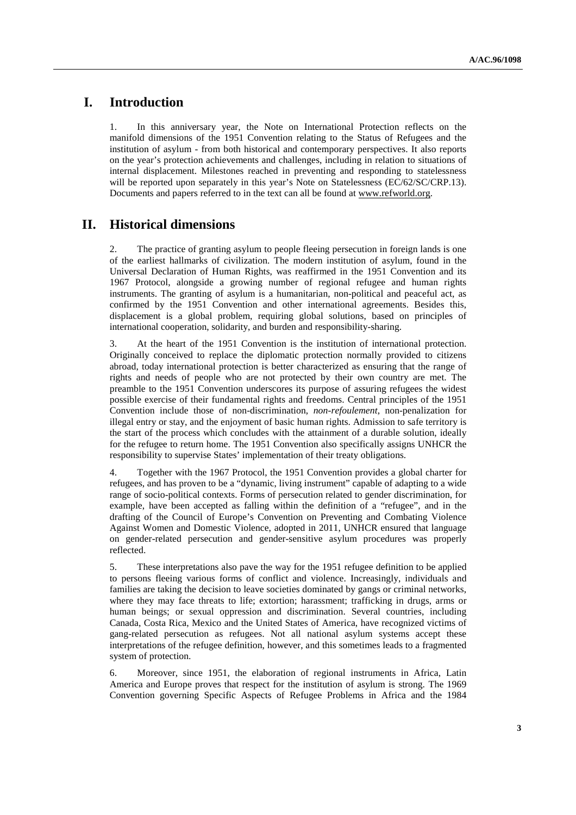# **I. Introduction**

1. In this anniversary year, the Note on International Protection reflects on the manifold dimensions of the 1951 Convention relating to the Status of Refugees and the institution of asylum - from both historical and contemporary perspectives. It also reports on the year's protection achievements and challenges, including in relation to situations of internal displacement. Milestones reached in preventing and responding to statelessness will be reported upon separately in this year's Note on Statelessness (EC/62/SC/CRP.13). Documents and papers referred to in the text can all be found at www.refworld.org.

## **II. Historical dimensions**

2. The practice of granting asylum to people fleeing persecution in foreign lands is one of the earliest hallmarks of civilization. The modern institution of asylum, found in the Universal Declaration of Human Rights, was reaffirmed in the 1951 Convention and its 1967 Protocol, alongside a growing number of regional refugee and human rights instruments. The granting of asylum is a humanitarian, non-political and peaceful act, as confirmed by the 1951 Convention and other international agreements. Besides this, displacement is a global problem, requiring global solutions, based on principles of international cooperation, solidarity, and burden and responsibility-sharing.

3. At the heart of the 1951 Convention is the institution of international protection. Originally conceived to replace the diplomatic protection normally provided to citizens abroad, today international protection is better characterized as ensuring that the range of rights and needs of people who are not protected by their own country are met. The preamble to the 1951 Convention underscores its purpose of assuring refugees the widest possible exercise of their fundamental rights and freedoms. Central principles of the 1951 Convention include those of non-discrimination, *non-refoulement*, non-penalization for illegal entry or stay, and the enjoyment of basic human rights. Admission to safe territory is the start of the process which concludes with the attainment of a durable solution, ideally for the refugee to return home. The 1951 Convention also specifically assigns UNHCR the responsibility to supervise States' implementation of their treaty obligations.

4. Together with the 1967 Protocol, the 1951 Convention provides a global charter for refugees, and has proven to be a "dynamic, living instrument" capable of adapting to a wide range of socio-political contexts. Forms of persecution related to gender discrimination, for example, have been accepted as falling within the definition of a "refugee", and in the drafting of the Council of Europe's Convention on Preventing and Combating Violence Against Women and Domestic Violence, adopted in 2011, UNHCR ensured that language on gender-related persecution and gender-sensitive asylum procedures was properly reflected.

5. These interpretations also pave the way for the 1951 refugee definition to be applied to persons fleeing various forms of conflict and violence. Increasingly, individuals and families are taking the decision to leave societies dominated by gangs or criminal networks, where they may face threats to life; extortion; harassment; trafficking in drugs, arms or human beings; or sexual oppression and discrimination. Several countries, including Canada, Costa Rica, Mexico and the United States of America, have recognized victims of gang-related persecution as refugees. Not all national asylum systems accept these interpretations of the refugee definition, however, and this sometimes leads to a fragmented system of protection.

6. Moreover, since 1951, the elaboration of regional instruments in Africa, Latin America and Europe proves that respect for the institution of asylum is strong. The 1969 Convention governing Specific Aspects of Refugee Problems in Africa and the 1984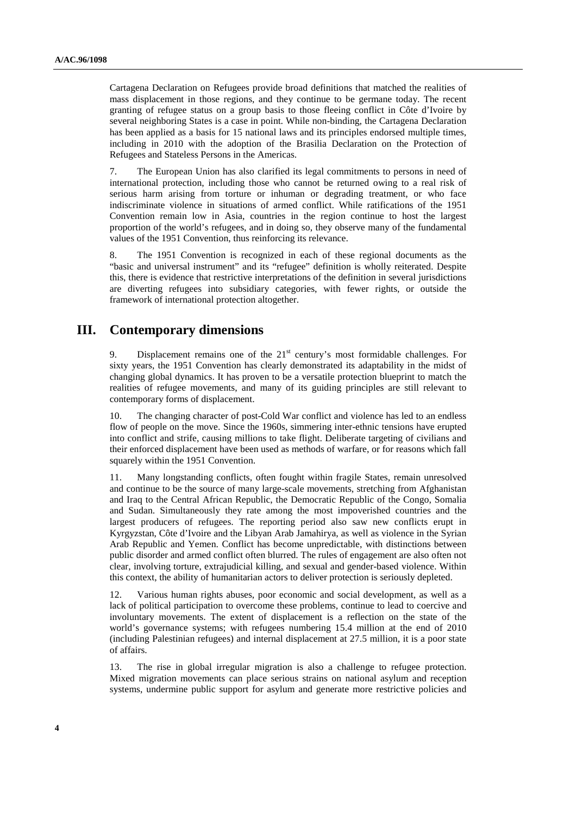Cartagena Declaration on Refugees provide broad definitions that matched the realities of mass displacement in those regions, and they continue to be germane today. The recent granting of refugee status on a group basis to those fleeing conflict in Côte d'Ivoire by several neighboring States is a case in point. While non-binding, the Cartagena Declaration has been applied as a basis for 15 national laws and its principles endorsed multiple times, including in 2010 with the adoption of the Brasilia Declaration on the Protection of Refugees and Stateless Persons in the Americas.

7. The European Union has also clarified its legal commitments to persons in need of international protection, including those who cannot be returned owing to a real risk of serious harm arising from torture or inhuman or degrading treatment, or who face indiscriminate violence in situations of armed conflict. While ratifications of the 1951 Convention remain low in Asia, countries in the region continue to host the largest proportion of the world's refugees, and in doing so, they observe many of the fundamental values of the 1951 Convention, thus reinforcing its relevance.

8. The 1951 Convention is recognized in each of these regional documents as the "basic and universal instrument" and its "refugee" definition is wholly reiterated. Despite this, there is evidence that restrictive interpretations of the definition in several jurisdictions are diverting refugees into subsidiary categories, with fewer rights, or outside the framework of international protection altogether.

## **III. Contemporary dimensions**

9. Displacement remains one of the  $21<sup>st</sup>$  century's most formidable challenges. For sixty years, the 1951 Convention has clearly demonstrated its adaptability in the midst of changing global dynamics. It has proven to be a versatile protection blueprint to match the realities of refugee movements, and many of its guiding principles are still relevant to contemporary forms of displacement.

10. The changing character of post-Cold War conflict and violence has led to an endless flow of people on the move. Since the 1960s, simmering inter-ethnic tensions have erupted into conflict and strife, causing millions to take flight. Deliberate targeting of civilians and their enforced displacement have been used as methods of warfare, or for reasons which fall squarely within the 1951 Convention.

11. Many longstanding conflicts, often fought within fragile States, remain unresolved and continue to be the source of many large-scale movements, stretching from Afghanistan and Iraq to the Central African Republic, the Democratic Republic of the Congo, Somalia and Sudan. Simultaneously they rate among the most impoverished countries and the largest producers of refugees. The reporting period also saw new conflicts erupt in Kyrgyzstan, Côte d'Ivoire and the Libyan Arab Jamahirya, as well as violence in the Syrian Arab Republic and Yemen. Conflict has become unpredictable, with distinctions between public disorder and armed conflict often blurred. The rules of engagement are also often not clear, involving torture, extrajudicial killing, and sexual and gender-based violence. Within this context, the ability of humanitarian actors to deliver protection is seriously depleted.

12. Various human rights abuses, poor economic and social development, as well as a lack of political participation to overcome these problems, continue to lead to coercive and involuntary movements. The extent of displacement is a reflection on the state of the world's governance systems; with refugees numbering 15.4 million at the end of 2010 (including Palestinian refugees) and internal displacement at 27.5 million, it is a poor state of affairs.

13. The rise in global irregular migration is also a challenge to refugee protection. Mixed migration movements can place serious strains on national asylum and reception systems, undermine public support for asylum and generate more restrictive policies and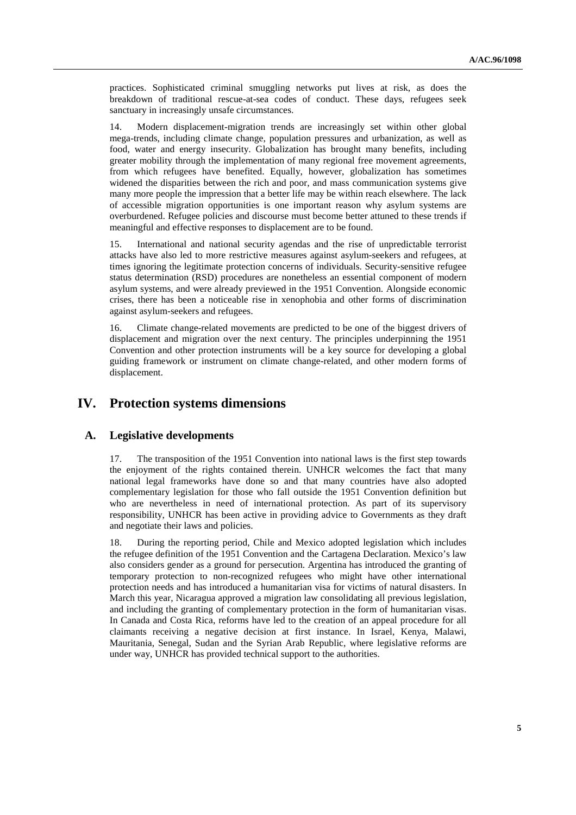practices. Sophisticated criminal smuggling networks put lives at risk, as does the breakdown of traditional rescue-at-sea codes of conduct. These days, refugees seek sanctuary in increasingly unsafe circumstances.

14. Modern displacement-migration trends are increasingly set within other global mega-trends, including climate change, population pressures and urbanization, as well as food, water and energy insecurity. Globalization has brought many benefits, including greater mobility through the implementation of many regional free movement agreements, from which refugees have benefited. Equally, however, globalization has sometimes widened the disparities between the rich and poor, and mass communication systems give many more people the impression that a better life may be within reach elsewhere. The lack of accessible migration opportunities is one important reason why asylum systems are overburdened. Refugee policies and discourse must become better attuned to these trends if meaningful and effective responses to displacement are to be found.

15. International and national security agendas and the rise of unpredictable terrorist attacks have also led to more restrictive measures against asylum-seekers and refugees, at times ignoring the legitimate protection concerns of individuals. Security-sensitive refugee status determination (RSD) procedures are nonetheless an essential component of modern asylum systems, and were already previewed in the 1951 Convention. Alongside economic crises, there has been a noticeable rise in xenophobia and other forms of discrimination against asylum-seekers and refugees.

16. Climate change-related movements are predicted to be one of the biggest drivers of displacement and migration over the next century. The principles underpinning the 1951 Convention and other protection instruments will be a key source for developing a global guiding framework or instrument on climate change-related, and other modern forms of displacement.

# **IV. Protection systems dimensions**

#### **A. Legislative developments**

17. The transposition of the 1951 Convention into national laws is the first step towards the enjoyment of the rights contained therein. UNHCR welcomes the fact that many national legal frameworks have done so and that many countries have also adopted complementary legislation for those who fall outside the 1951 Convention definition but who are nevertheless in need of international protection. As part of its supervisory responsibility, UNHCR has been active in providing advice to Governments as they draft and negotiate their laws and policies.

18. During the reporting period, Chile and Mexico adopted legislation which includes the refugee definition of the 1951 Convention and the Cartagena Declaration. Mexico's law also considers gender as a ground for persecution. Argentina has introduced the granting of temporary protection to non-recognized refugees who might have other international protection needs and has introduced a humanitarian visa for victims of natural disasters. In March this year, Nicaragua approved a migration law consolidating all previous legislation, and including the granting of complementary protection in the form of humanitarian visas. In Canada and Costa Rica, reforms have led to the creation of an appeal procedure for all claimants receiving a negative decision at first instance. In Israel, Kenya, Malawi, Mauritania, Senegal, Sudan and the Syrian Arab Republic, where legislative reforms are under way, UNHCR has provided technical support to the authorities.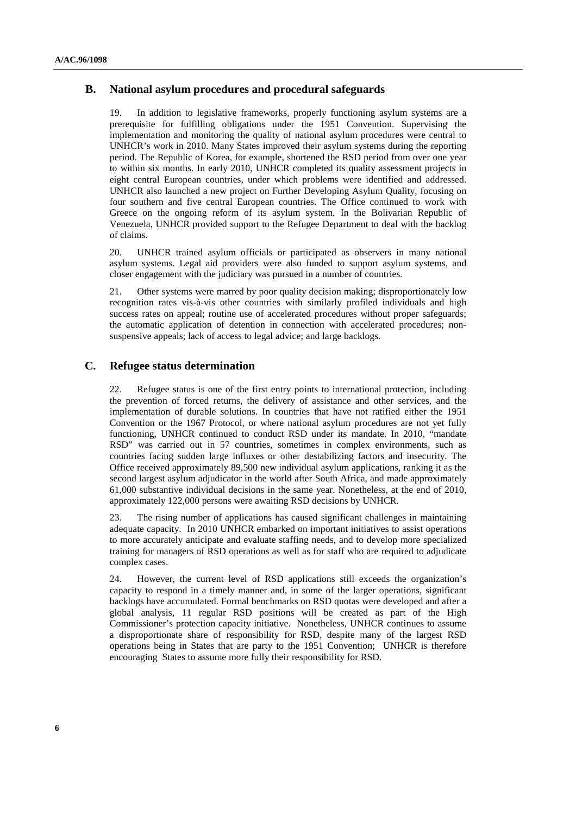#### **B. National asylum procedures and procedural safeguards**

19. In addition to legislative frameworks, properly functioning asylum systems are a prerequisite for fulfilling obligations under the 1951 Convention. Supervising the implementation and monitoring the quality of national asylum procedures were central to UNHCR's work in 2010. Many States improved their asylum systems during the reporting period. The Republic of Korea, for example, shortened the RSD period from over one year to within six months. In early 2010, UNHCR completed its quality assessment projects in eight central European countries, under which problems were identified and addressed. UNHCR also launched a new project on Further Developing Asylum Quality, focusing on four southern and five central European countries. The Office continued to work with Greece on the ongoing reform of its asylum system. In the Bolivarian Republic of Venezuela, UNHCR provided support to the Refugee Department to deal with the backlog of claims.

20. UNHCR trained asylum officials or participated as observers in many national asylum systems. Legal aid providers were also funded to support asylum systems, and closer engagement with the judiciary was pursued in a number of countries.

21. Other systems were marred by poor quality decision making; disproportionately low recognition rates vis-à-vis other countries with similarly profiled individuals and high success rates on appeal; routine use of accelerated procedures without proper safeguards; the automatic application of detention in connection with accelerated procedures; nonsuspensive appeals; lack of access to legal advice; and large backlogs.

#### **C. Refugee status determination**

22. Refugee status is one of the first entry points to international protection, including the prevention of forced returns, the delivery of assistance and other services, and the implementation of durable solutions. In countries that have not ratified either the 1951 Convention or the 1967 Protocol, or where national asylum procedures are not yet fully functioning, UNHCR continued to conduct RSD under its mandate. In 2010, "mandate RSD" was carried out in 57 countries, sometimes in complex environments, such as countries facing sudden large influxes or other destabilizing factors and insecurity. The Office received approximately 89,500 new individual asylum applications, ranking it as the second largest asylum adjudicator in the world after South Africa, and made approximately 61,000 substantive individual decisions in the same year. Nonetheless, at the end of 2010, approximately 122,000 persons were awaiting RSD decisions by UNHCR.

23. The rising number of applications has caused significant challenges in maintaining adequate capacity. In 2010 UNHCR embarked on important initiatives to assist operations to more accurately anticipate and evaluate staffing needs, and to develop more specialized training for managers of RSD operations as well as for staff who are required to adjudicate complex cases.

24. However, the current level of RSD applications still exceeds the organization's capacity to respond in a timely manner and, in some of the larger operations, significant backlogs have accumulated. Formal benchmarks on RSD quotas were developed and after a global analysis, 11 regular RSD positions will be created as part of the High Commissioner's protection capacity initiative. Nonetheless, UNHCR continues to assume a disproportionate share of responsibility for RSD, despite many of the largest RSD operations being in States that are party to the 1951 Convention; UNHCR is therefore encouraging States to assume more fully their responsibility for RSD.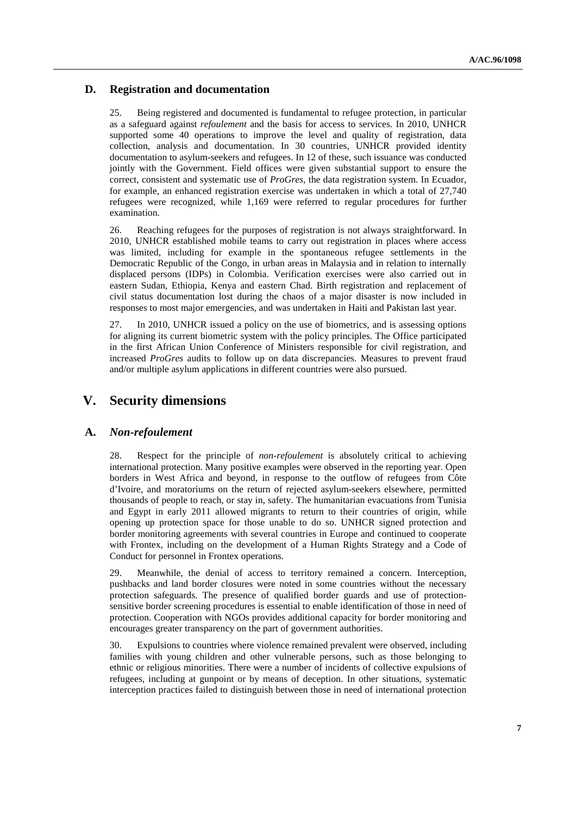#### **D. Registration and documentation**

25. Being registered and documented is fundamental to refugee protection, in particular as a safeguard against *refoulement* and the basis for access to services. In 2010, UNHCR supported some 40 operations to improve the level and quality of registration, data collection, analysis and documentation. In 30 countries, UNHCR provided identity documentation to asylum-seekers and refugees. In 12 of these, such issuance was conducted jointly with the Government. Field offices were given substantial support to ensure the correct, consistent and systematic use of *ProGres,* the data registration system. In Ecuador, for example, an enhanced registration exercise was undertaken in which a total of 27,740 refugees were recognized, while 1,169 were referred to regular procedures for further examination.

26. Reaching refugees for the purposes of registration is not always straightforward. In 2010, UNHCR established mobile teams to carry out registration in places where access was limited, including for example in the spontaneous refugee settlements in the Democratic Republic of the Congo, in urban areas in Malaysia and in relation to internally displaced persons (IDPs) in Colombia. Verification exercises were also carried out in eastern Sudan, Ethiopia, Kenya and eastern Chad. Birth registration and replacement of civil status documentation lost during the chaos of a major disaster is now included in responses to most major emergencies, and was undertaken in Haiti and Pakistan last year.

27. In 2010, UNHCR issued a policy on the use of biometrics, and is assessing options for aligning its current biometric system with the policy principles. The Office participated in the first African Union Conference of Ministers responsible for civil registration, and increased *ProGres* audits to follow up on data discrepancies. Measures to prevent fraud and/or multiple asylum applications in different countries were also pursued.

### **V. Security dimensions**

#### **A.** *Non-refoulement*

28. Respect for the principle of *non-refoulement* is absolutely critical to achieving international protection. Many positive examples were observed in the reporting year. Open borders in West Africa and beyond, in response to the outflow of refugees from Côte d'Ivoire, and moratoriums on the return of rejected asylum-seekers elsewhere, permitted thousands of people to reach, or stay in, safety. The humanitarian evacuations from Tunisia and Egypt in early 2011 allowed migrants to return to their countries of origin, while opening up protection space for those unable to do so. UNHCR signed protection and border monitoring agreements with several countries in Europe and continued to cooperate with Frontex, including on the development of a Human Rights Strategy and a Code of Conduct for personnel in Frontex operations.

29. Meanwhile, the denial of access to territory remained a concern. Interception, pushbacks and land border closures were noted in some countries without the necessary protection safeguards. The presence of qualified border guards and use of protectionsensitive border screening procedures is essential to enable identification of those in need of protection. Cooperation with NGOs provides additional capacity for border monitoring and encourages greater transparency on the part of government authorities.

30. Expulsions to countries where violence remained prevalent were observed, including families with young children and other vulnerable persons, such as those belonging to ethnic or religious minorities. There were a number of incidents of collective expulsions of refugees, including at gunpoint or by means of deception. In other situations, systematic interception practices failed to distinguish between those in need of international protection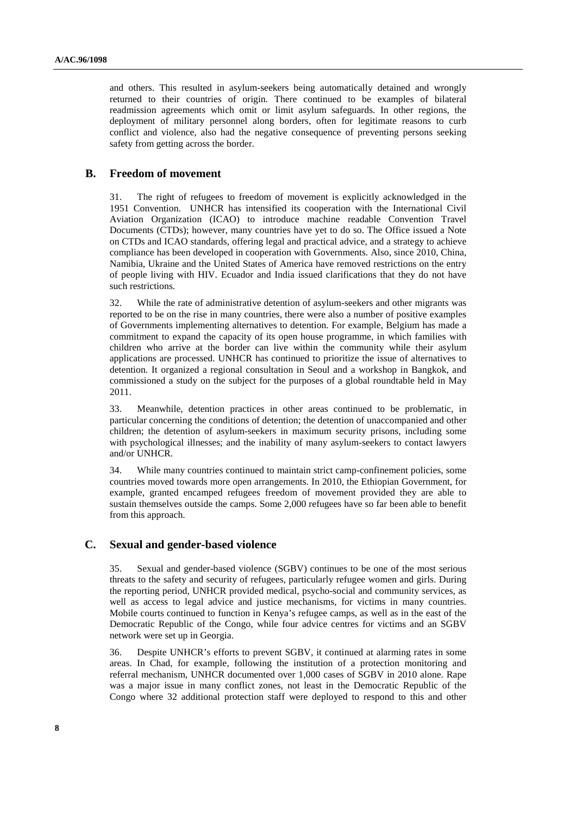and others. This resulted in asylum-seekers being automatically detained and wrongly returned to their countries of origin. There continued to be examples of bilateral readmission agreements which omit or limit asylum safeguards. In other regions, the deployment of military personnel along borders, often for legitimate reasons to curb conflict and violence, also had the negative consequence of preventing persons seeking safety from getting across the border.

#### **B. Freedom of movement**

31. The right of refugees to freedom of movement is explicitly acknowledged in the 1951 Convention. UNHCR has intensified its cooperation with the International Civil Aviation Organization (ICAO) to introduce machine readable Convention Travel Documents (CTDs); however, many countries have yet to do so. The Office issued a Note on CTDs and ICAO standards, offering legal and practical advice, and a strategy to achieve compliance has been developed in cooperation with Governments. Also, since 2010, China, Namibia, Ukraine and the United States of America have removed restrictions on the entry of people living with HIV. Ecuador and India issued clarifications that they do not have such restrictions.

32. While the rate of administrative detention of asylum-seekers and other migrants was reported to be on the rise in many countries, there were also a number of positive examples of Governments implementing alternatives to detention. For example, Belgium has made a commitment to expand the capacity of its open house programme, in which families with children who arrive at the border can live within the community while their asylum applications are processed. UNHCR has continued to prioritize the issue of alternatives to detention. It organized a regional consultation in Seoul and a workshop in Bangkok, and commissioned a study on the subject for the purposes of a global roundtable held in May 2011.

33. Meanwhile, detention practices in other areas continued to be problematic, in particular concerning the conditions of detention; the detention of unaccompanied and other children; the detention of asylum-seekers in maximum security prisons, including some with psychological illnesses; and the inability of many asylum-seekers to contact lawyers and/or UNHCR.

34. While many countries continued to maintain strict camp-confinement policies, some countries moved towards more open arrangements. In 2010, the Ethiopian Government, for example, granted encamped refugees freedom of movement provided they are able to sustain themselves outside the camps. Some 2,000 refugees have so far been able to benefit from this approach.

#### **C. Sexual and gender-based violence**

35. Sexual and gender-based violence (SGBV) continues to be one of the most serious threats to the safety and security of refugees, particularly refugee women and girls. During the reporting period, UNHCR provided medical, psycho-social and community services, as well as access to legal advice and justice mechanisms, for victims in many countries. Mobile courts continued to function in Kenya's refugee camps, as well as in the east of the Democratic Republic of the Congo, while four advice centres for victims and an SGBV network were set up in Georgia.

36. Despite UNHCR's efforts to prevent SGBV, it continued at alarming rates in some areas. In Chad, for example, following the institution of a protection monitoring and referral mechanism, UNHCR documented over 1,000 cases of SGBV in 2010 alone. Rape was a major issue in many conflict zones, not least in the Democratic Republic of the Congo where 32 additional protection staff were deployed to respond to this and other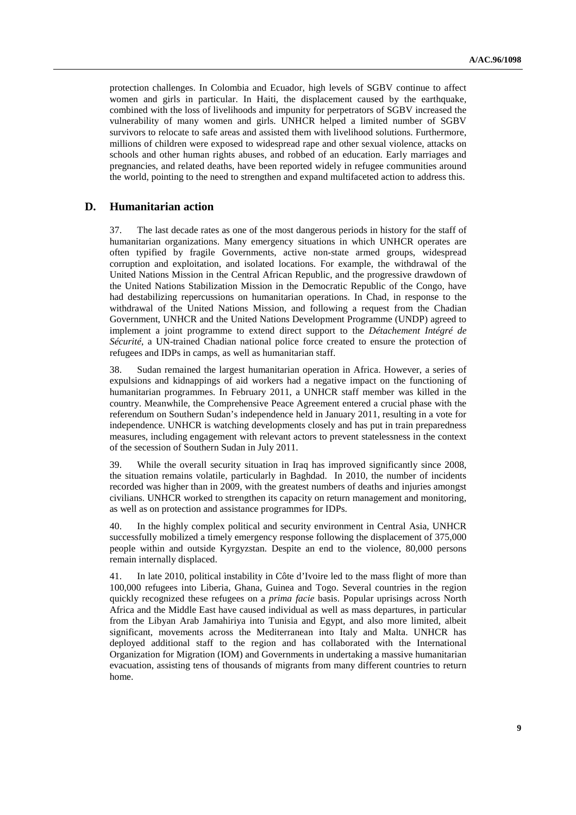protection challenges. In Colombia and Ecuador, high levels of SGBV continue to affect women and girls in particular. In Haiti, the displacement caused by the earthquake, combined with the loss of livelihoods and impunity for perpetrators of SGBV increased the vulnerability of many women and girls. UNHCR helped a limited number of SGBV survivors to relocate to safe areas and assisted them with livelihood solutions. Furthermore, millions of children were exposed to widespread rape and other sexual violence, attacks on schools and other human rights abuses, and robbed of an education. Early marriages and pregnancies, and related deaths, have been reported widely in refugee communities around the world, pointing to the need to strengthen and expand multifaceted action to address this.

#### **D. Humanitarian action**

37. The last decade rates as one of the most dangerous periods in history for the staff of humanitarian organizations. Many emergency situations in which UNHCR operates are often typified by fragile Governments, active non-state armed groups, widespread corruption and exploitation, and isolated locations. For example, the withdrawal of the United Nations Mission in the Central African Republic, and the progressive drawdown of the United Nations Stabilization Mission in the Democratic Republic of the Congo, have had destabilizing repercussions on humanitarian operations. In Chad, in response to the withdrawal of the United Nations Mission, and following a request from the Chadian Government, UNHCR and the United Nations Development Programme (UNDP) agreed to implement a joint programme to extend direct support to the *Détachement Intégré de Sécurité*, a UN-trained Chadian national police force created to ensure the protection of refugees and IDPs in camps, as well as humanitarian staff.

38. Sudan remained the largest humanitarian operation in Africa. However, a series of expulsions and kidnappings of aid workers had a negative impact on the functioning of humanitarian programmes. In February 2011, a UNHCR staff member was killed in the country. Meanwhile, the Comprehensive Peace Agreement entered a crucial phase with the referendum on Southern Sudan's independence held in January 2011, resulting in a vote for independence. UNHCR is watching developments closely and has put in train preparedness measures, including engagement with relevant actors to prevent statelessness in the context of the secession of Southern Sudan in July 2011.

39. While the overall security situation in Iraq has improved significantly since 2008, the situation remains volatile, particularly in Baghdad. In 2010, the number of incidents recorded was higher than in 2009, with the greatest numbers of deaths and injuries amongst civilians. UNHCR worked to strengthen its capacity on return management and monitoring, as well as on protection and assistance programmes for IDPs.

40. In the highly complex political and security environment in Central Asia, UNHCR successfully mobilized a timely emergency response following the displacement of 375,000 people within and outside Kyrgyzstan. Despite an end to the violence, 80,000 persons remain internally displaced.

41. In late 2010, political instability in Côte d'Ivoire led to the mass flight of more than 100,000 refugees into Liberia, Ghana, Guinea and Togo. Several countries in the region quickly recognized these refugees on a *prima facie* basis. Popular uprisings across North Africa and the Middle East have caused individual as well as mass departures, in particular from the Libyan Arab Jamahiriya into Tunisia and Egypt, and also more limited, albeit significant, movements across the Mediterranean into Italy and Malta. UNHCR has deployed additional staff to the region and has collaborated with the International Organization for Migration (IOM) and Governments in undertaking a massive humanitarian evacuation, assisting tens of thousands of migrants from many different countries to return home.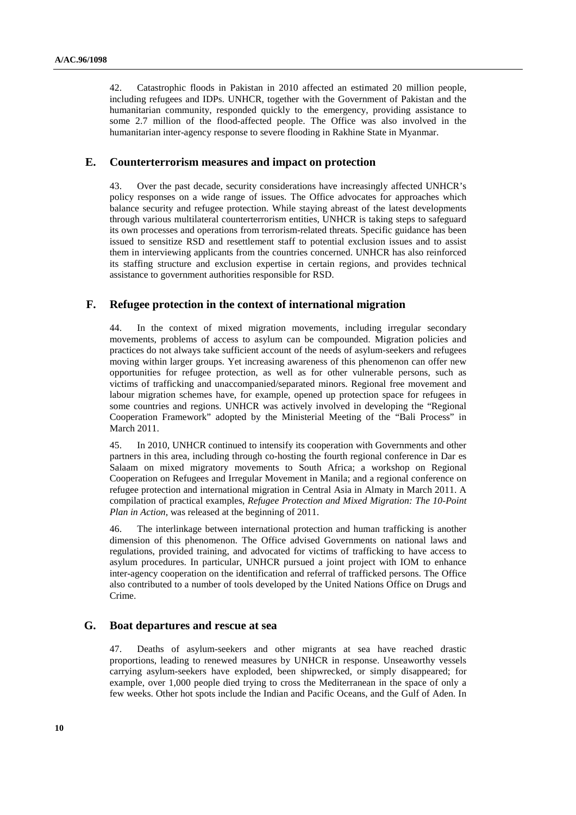42. Catastrophic floods in Pakistan in 2010 affected an estimated 20 million people, including refugees and IDPs. UNHCR, together with the Government of Pakistan and the humanitarian community, responded quickly to the emergency, providing assistance to some 2.7 million of the flood-affected people. The Office was also involved in the humanitarian inter-agency response to severe flooding in Rakhine State in Myanmar.

#### **E. Counterterrorism measures and impact on protection**

43. Over the past decade, security considerations have increasingly affected UNHCR's policy responses on a wide range of issues. The Office advocates for approaches which balance security and refugee protection. While staying abreast of the latest developments through various multilateral counterterrorism entities, UNHCR is taking steps to safeguard its own processes and operations from terrorism-related threats. Specific guidance has been issued to sensitize RSD and resettlement staff to potential exclusion issues and to assist them in interviewing applicants from the countries concerned. UNHCR has also reinforced its staffing structure and exclusion expertise in certain regions, and provides technical assistance to government authorities responsible for RSD.

#### **F. Refugee protection in the context of international migration**

44. In the context of mixed migration movements, including irregular secondary movements, problems of access to asylum can be compounded. Migration policies and practices do not always take sufficient account of the needs of asylum-seekers and refugees moving within larger groups. Yet increasing awareness of this phenomenon can offer new opportunities for refugee protection, as well as for other vulnerable persons, such as victims of trafficking and unaccompanied/separated minors. Regional free movement and labour migration schemes have, for example, opened up protection space for refugees in some countries and regions. UNHCR was actively involved in developing the "Regional Cooperation Framework" adopted by the Ministerial Meeting of the "Bali Process" in March 2011.

45. In 2010, UNHCR continued to intensify its cooperation with Governments and other partners in this area, including through co-hosting the fourth regional conference in Dar es Salaam on mixed migratory movements to South Africa; a workshop on Regional Cooperation on Refugees and Irregular Movement in Manila; and a regional conference on refugee protection and international migration in Central Asia in Almaty in March 2011. A compilation of practical examples, *Refugee Protection and Mixed Migration: The 10-Point Plan in Action*, was released at the beginning of 2011.

46. The interlinkage between international protection and human trafficking is another dimension of this phenomenon. The Office advised Governments on national laws and regulations, provided training, and advocated for victims of trafficking to have access to asylum procedures. In particular, UNHCR pursued a joint project with IOM to enhance inter-agency cooperation on the identification and referral of trafficked persons. The Office also contributed to a number of tools developed by the United Nations Office on Drugs and Crime.

#### **G. Boat departures and rescue at sea**

47. Deaths of asylum-seekers and other migrants at sea have reached drastic proportions, leading to renewed measures by UNHCR in response. Unseaworthy vessels carrying asylum-seekers have exploded, been shipwrecked, or simply disappeared; for example, over 1,000 people died trying to cross the Mediterranean in the space of only a few weeks. Other hot spots include the Indian and Pacific Oceans, and the Gulf of Aden. In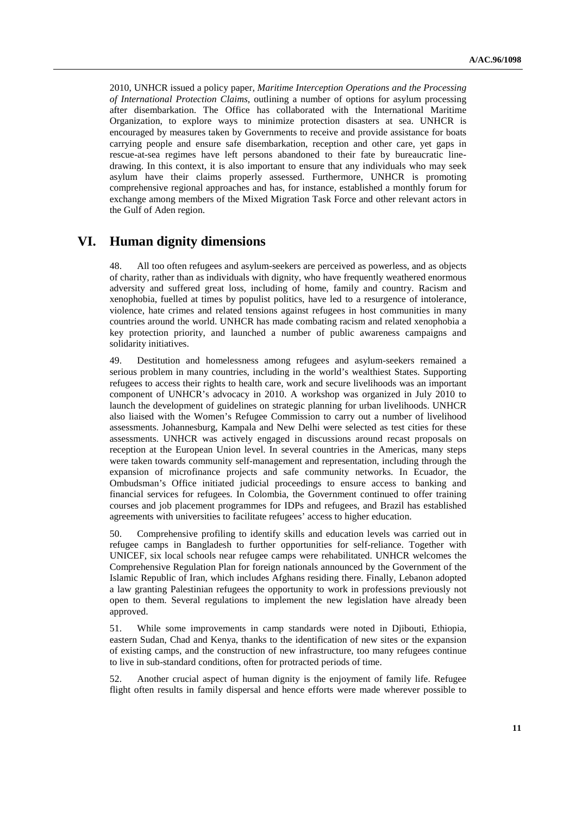2010, UNHCR issued a policy paper, *Maritime Interception Operations and the Processing of International Protection Claims*, outlining a number of options for asylum processing after disembarkation. The Office has collaborated with the International Maritime Organization, to explore ways to minimize protection disasters at sea. UNHCR is encouraged by measures taken by Governments to receive and provide assistance for boats carrying people and ensure safe disembarkation, reception and other care, yet gaps in rescue-at-sea regimes have left persons abandoned to their fate by bureaucratic linedrawing. In this context, it is also important to ensure that any individuals who may seek asylum have their claims properly assessed. Furthermore, UNHCR is promoting comprehensive regional approaches and has, for instance, established a monthly forum for exchange among members of the Mixed Migration Task Force and other relevant actors in the Gulf of Aden region.

# **VI. Human dignity dimensions**

48. All too often refugees and asylum-seekers are perceived as powerless, and as objects of charity, rather than as individuals with dignity, who have frequently weathered enormous adversity and suffered great loss, including of home, family and country. Racism and xenophobia, fuelled at times by populist politics, have led to a resurgence of intolerance, violence, hate crimes and related tensions against refugees in host communities in many countries around the world. UNHCR has made combating racism and related xenophobia a key protection priority, and launched a number of public awareness campaigns and solidarity initiatives.

49. Destitution and homelessness among refugees and asylum-seekers remained a serious problem in many countries, including in the world's wealthiest States. Supporting refugees to access their rights to health care, work and secure livelihoods was an important component of UNHCR's advocacy in 2010. A workshop was organized in July 2010 to launch the development of guidelines on strategic planning for urban livelihoods. UNHCR also liaised with the Women's Refugee Commission to carry out a number of livelihood assessments. Johannesburg, Kampala and New Delhi were selected as test cities for these assessments. UNHCR was actively engaged in discussions around recast proposals on reception at the European Union level. In several countries in the Americas, many steps were taken towards community self-management and representation, including through the expansion of microfinance projects and safe community networks. In Ecuador, the Ombudsman's Office initiated judicial proceedings to ensure access to banking and financial services for refugees. In Colombia, the Government continued to offer training courses and job placement programmes for IDPs and refugees, and Brazil has established agreements with universities to facilitate refugees' access to higher education.

50. Comprehensive profiling to identify skills and education levels was carried out in refugee camps in Bangladesh to further opportunities for self-reliance. Together with UNICEF, six local schools near refugee camps were rehabilitated. UNHCR welcomes the Comprehensive Regulation Plan for foreign nationals announced by the Government of the Islamic Republic of Iran, which includes Afghans residing there. Finally, Lebanon adopted a law granting Palestinian refugees the opportunity to work in professions previously not open to them. Several regulations to implement the new legislation have already been approved.

51. While some improvements in camp standards were noted in Djibouti, Ethiopia, eastern Sudan, Chad and Kenya, thanks to the identification of new sites or the expansion of existing camps, and the construction of new infrastructure, too many refugees continue to live in sub-standard conditions, often for protracted periods of time.

52. Another crucial aspect of human dignity is the enjoyment of family life. Refugee flight often results in family dispersal and hence efforts were made wherever possible to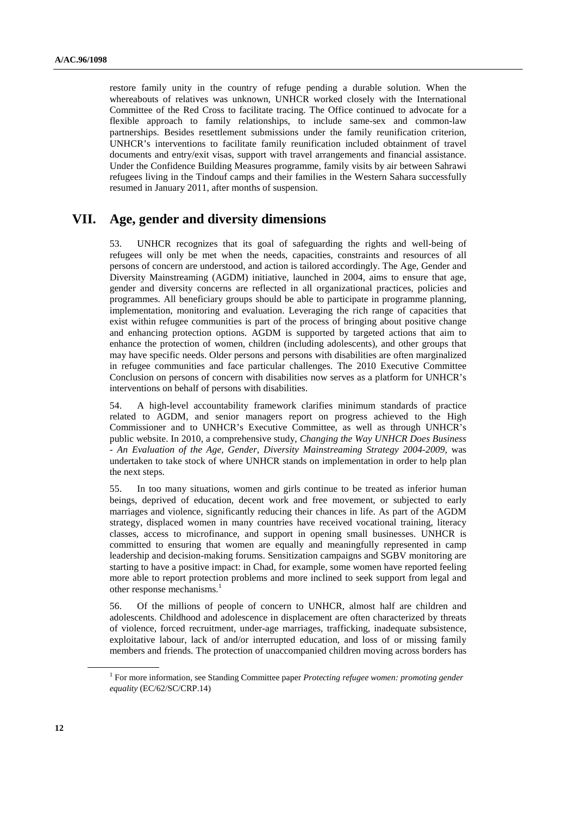restore family unity in the country of refuge pending a durable solution. When the whereabouts of relatives was unknown, UNHCR worked closely with the International Committee of the Red Cross to facilitate tracing. The Office continued to advocate for a flexible approach to family relationships, to include same-sex and common-law partnerships. Besides resettlement submissions under the family reunification criterion, UNHCR's interventions to facilitate family reunification included obtainment of travel documents and entry/exit visas, support with travel arrangements and financial assistance. Under the Confidence Building Measures programme, family visits by air between Sahrawi refugees living in the Tindouf camps and their families in the Western Sahara successfully resumed in January 2011, after months of suspension.

# **VII. Age, gender and diversity dimensions**

53. UNHCR recognizes that its goal of safeguarding the rights and well-being of refugees will only be met when the needs, capacities, constraints and resources of all persons of concern are understood, and action is tailored accordingly. The Age, Gender and Diversity Mainstreaming (AGDM) initiative, launched in 2004, aims to ensure that age, gender and diversity concerns are reflected in all organizational practices, policies and programmes. All beneficiary groups should be able to participate in programme planning, implementation, monitoring and evaluation. Leveraging the rich range of capacities that exist within refugee communities is part of the process of bringing about positive change and enhancing protection options. AGDM is supported by targeted actions that aim to enhance the protection of women, children (including adolescents), and other groups that may have specific needs. Older persons and persons with disabilities are often marginalized in refugee communities and face particular challenges. The 2010 Executive Committee Conclusion on persons of concern with disabilities now serves as a platform for UNHCR's interventions on behalf of persons with disabilities.

54. A high-level accountability framework clarifies minimum standards of practice related to AGDM, and senior managers report on progress achieved to the High Commissioner and to UNHCR's Executive Committee, as well as through UNHCR's public website. In 2010, a comprehensive study, *Changing the Way UNHCR Does Business - An Evaluation of the Age, Gender, Diversity Mainstreaming Strategy 2004-2009*, was undertaken to take stock of where UNHCR stands on implementation in order to help plan the next steps.

55. In too many situations, women and girls continue to be treated as inferior human beings, deprived of education, decent work and free movement, or subjected to early marriages and violence, significantly reducing their chances in life. As part of the AGDM strategy, displaced women in many countries have received vocational training, literacy classes, access to microfinance, and support in opening small businesses. UNHCR is committed to ensuring that women are equally and meaningfully represented in camp leadership and decision-making forums. Sensitization campaigns and SGBV monitoring are starting to have a positive impact: in Chad, for example, some women have reported feeling more able to report protection problems and more inclined to seek support from legal and other response mechanisms. $<sup>1</sup>$ </sup>

56. Of the millions of people of concern to UNHCR, almost half are children and adolescents. Childhood and adolescence in displacement are often characterized by threats of violence, forced recruitment, under-age marriages, trafficking, inadequate subsistence, exploitative labour, lack of and/or interrupted education, and loss of or missing family members and friends. The protection of unaccompanied children moving across borders has

<sup>&</sup>lt;sup>1</sup> For more information, see Standing Committee paper *Protecting refugee women: promoting gender equality* (EC/62/SC/CRP.14)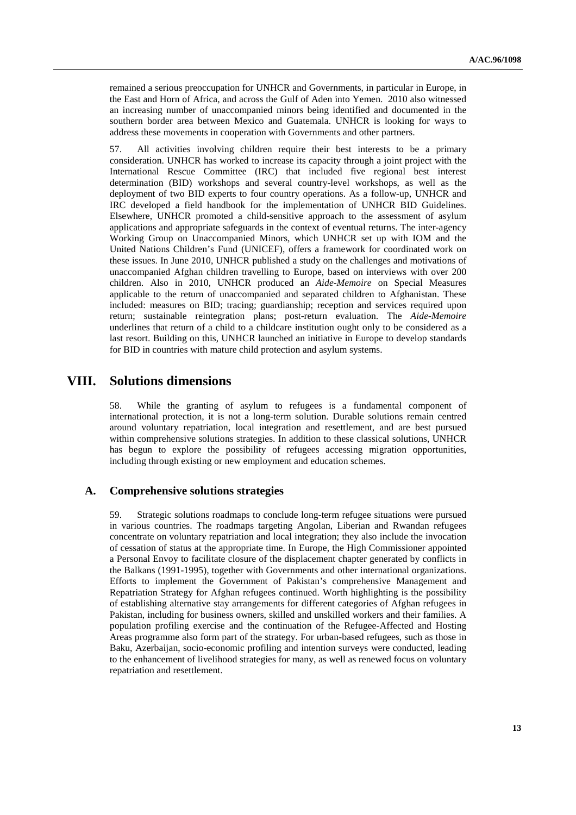remained a serious preoccupation for UNHCR and Governments, in particular in Europe, in the East and Horn of Africa, and across the Gulf of Aden into Yemen. 2010 also witnessed an increasing number of unaccompanied minors being identified and documented in the southern border area between Mexico and Guatemala. UNHCR is looking for ways to address these movements in cooperation with Governments and other partners.

57. All activities involving children require their best interests to be a primary consideration. UNHCR has worked to increase its capacity through a joint project with the International Rescue Committee (IRC) that included five regional best interest determination (BID) workshops and several country-level workshops, as well as the deployment of two BID experts to four country operations. As a follow-up, UNHCR and IRC developed a field handbook for the implementation of UNHCR BID Guidelines. Elsewhere, UNHCR promoted a child-sensitive approach to the assessment of asylum applications and appropriate safeguards in the context of eventual returns. The inter-agency Working Group on Unaccompanied Minors, which UNHCR set up with IOM and the United Nations Children's Fund (UNICEF), offers a framework for coordinated work on these issues. In June 2010, UNHCR published a study on the challenges and motivations of unaccompanied Afghan children travelling to Europe, based on interviews with over 200 children. Also in 2010, UNHCR produced an *Aide-Memoire* on Special Measures applicable to the return of unaccompanied and separated children to Afghanistan. These included: measures on BID; tracing; guardianship; reception and services required upon return; sustainable reintegration plans; post-return evaluation. The *Aide-Memoire* underlines that return of a child to a childcare institution ought only to be considered as a last resort. Building on this, UNHCR launched an initiative in Europe to develop standards for BID in countries with mature child protection and asylum systems.

## **VIII. Solutions dimensions**

58. While the granting of asylum to refugees is a fundamental component of international protection, it is not a long-term solution. Durable solutions remain centred around voluntary repatriation, local integration and resettlement, and are best pursued within comprehensive solutions strategies. In addition to these classical solutions, UNHCR has begun to explore the possibility of refugees accessing migration opportunities, including through existing or new employment and education schemes.

#### **A. Comprehensive solutions strategies**

59. Strategic solutions roadmaps to conclude long-term refugee situations were pursued in various countries. The roadmaps targeting Angolan, Liberian and Rwandan refugees concentrate on voluntary repatriation and local integration; they also include the invocation of cessation of status at the appropriate time. In Europe, the High Commissioner appointed a Personal Envoy to facilitate closure of the displacement chapter generated by conflicts in the Balkans (1991-1995), together with Governments and other international organizations. Efforts to implement the Government of Pakistan's comprehensive Management and Repatriation Strategy for Afghan refugees continued. Worth highlighting is the possibility of establishing alternative stay arrangements for different categories of Afghan refugees in Pakistan, including for business owners, skilled and unskilled workers and their families. A population profiling exercise and the continuation of the Refugee-Affected and Hosting Areas programme also form part of the strategy. For urban-based refugees, such as those in Baku, Azerbaijan, socio-economic profiling and intention surveys were conducted, leading to the enhancement of livelihood strategies for many, as well as renewed focus on voluntary repatriation and resettlement.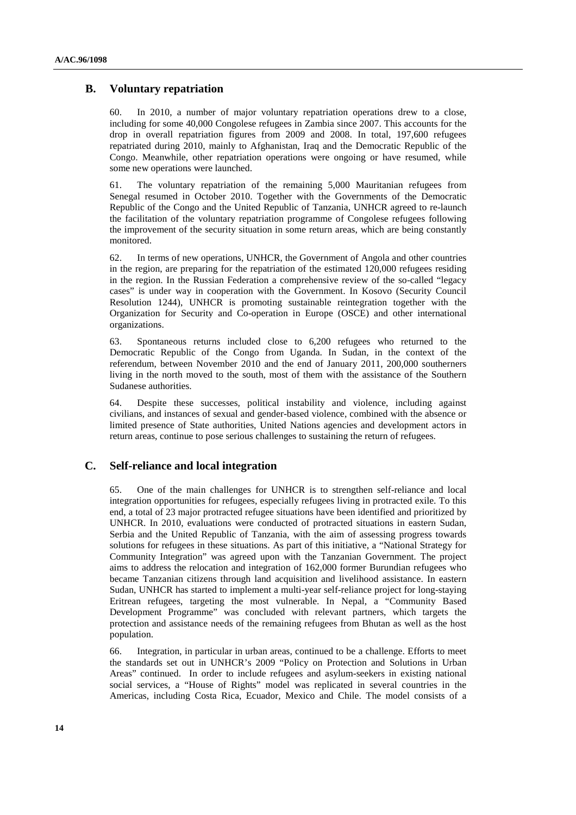#### **B. Voluntary repatriation**

60. In 2010, a number of major voluntary repatriation operations drew to a close, including for some 40,000 Congolese refugees in Zambia since 2007. This accounts for the drop in overall repatriation figures from 2009 and 2008. In total, 197,600 refugees repatriated during 2010, mainly to Afghanistan, Iraq and the Democratic Republic of the Congo. Meanwhile, other repatriation operations were ongoing or have resumed, while some new operations were launched.

61. The voluntary repatriation of the remaining 5,000 Mauritanian refugees from Senegal resumed in October 2010. Together with the Governments of the Democratic Republic of the Congo and the United Republic of Tanzania, UNHCR agreed to re-launch the facilitation of the voluntary repatriation programme of Congolese refugees following the improvement of the security situation in some return areas, which are being constantly monitored.

62. In terms of new operations, UNHCR, the Government of Angola and other countries in the region, are preparing for the repatriation of the estimated 120,000 refugees residing in the region. In the Russian Federation a comprehensive review of the so-called "legacy cases" is under way in cooperation with the Government. In Kosovo (Security Council Resolution 1244), UNHCR is promoting sustainable reintegration together with the Organization for Security and Co-operation in Europe (OSCE) and other international organizations.

63. Spontaneous returns included close to 6,200 refugees who returned to the Democratic Republic of the Congo from Uganda. In Sudan, in the context of the referendum, between November 2010 and the end of January 2011, 200,000 southerners living in the north moved to the south, most of them with the assistance of the Southern Sudanese authorities.

64. Despite these successes, political instability and violence, including against civilians, and instances of sexual and gender-based violence, combined with the absence or limited presence of State authorities, United Nations agencies and development actors in return areas, continue to pose serious challenges to sustaining the return of refugees.

#### **C. Self-reliance and local integration**

65. One of the main challenges for UNHCR is to strengthen self-reliance and local integration opportunities for refugees, especially refugees living in protracted exile. To this end, a total of 23 major protracted refugee situations have been identified and prioritized by UNHCR. In 2010, evaluations were conducted of protracted situations in eastern Sudan, Serbia and the United Republic of Tanzania, with the aim of assessing progress towards solutions for refugees in these situations. As part of this initiative, a "National Strategy for Community Integration" was agreed upon with the Tanzanian Government. The project aims to address the relocation and integration of 162,000 former Burundian refugees who became Tanzanian citizens through land acquisition and livelihood assistance. In eastern Sudan, UNHCR has started to implement a multi-year self-reliance project for long-staying Eritrean refugees, targeting the most vulnerable. In Nepal, a "Community Based Development Programme" was concluded with relevant partners, which targets the protection and assistance needs of the remaining refugees from Bhutan as well as the host population.

66. Integration, in particular in urban areas, continued to be a challenge. Efforts to meet the standards set out in UNHCR's 2009 "Policy on Protection and Solutions in Urban Areas" continued. In order to include refugees and asylum-seekers in existing national social services, a "House of Rights" model was replicated in several countries in the Americas, including Costa Rica, Ecuador, Mexico and Chile. The model consists of a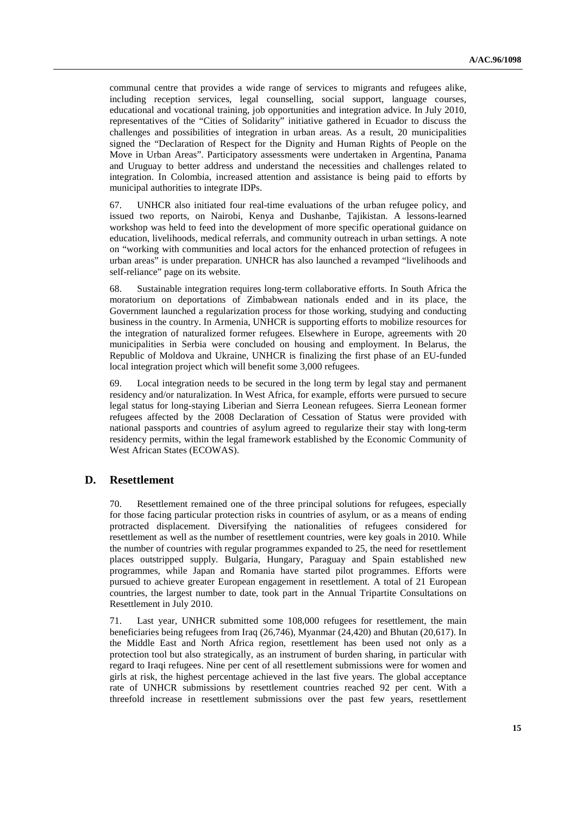communal centre that provides a wide range of services to migrants and refugees alike, including reception services, legal counselling, social support, language courses, educational and vocational training, job opportunities and integration advice. In July 2010, representatives of the "Cities of Solidarity" initiative gathered in Ecuador to discuss the challenges and possibilities of integration in urban areas. As a result, 20 municipalities signed the "Declaration of Respect for the Dignity and Human Rights of People on the Move in Urban Areas". Participatory assessments were undertaken in Argentina, Panama and Uruguay to better address and understand the necessities and challenges related to integration. In Colombia, increased attention and assistance is being paid to efforts by municipal authorities to integrate IDPs.

67. UNHCR also initiated four real-time evaluations of the urban refugee policy, and issued two reports, on Nairobi, Kenya and Dushanbe, Tajikistan. A lessons-learned workshop was held to feed into the development of more specific operational guidance on education, livelihoods, medical referrals, and community outreach in urban settings. A note on "working with communities and local actors for the enhanced protection of refugees in urban areas" is under preparation. UNHCR has also launched a revamped "livelihoods and self-reliance" page on its website.

68. Sustainable integration requires long-term collaborative efforts. In South Africa the moratorium on deportations of Zimbabwean nationals ended and in its place, the Government launched a regularization process for those working, studying and conducting business in the country. In Armenia, UNHCR is supporting efforts to mobilize resources for the integration of naturalized former refugees. Elsewhere in Europe, agreements with 20 municipalities in Serbia were concluded on housing and employment. In Belarus, the Republic of Moldova and Ukraine, UNHCR is finalizing the first phase of an EU-funded local integration project which will benefit some 3,000 refugees.

69. Local integration needs to be secured in the long term by legal stay and permanent residency and/or naturalization. In West Africa, for example, efforts were pursued to secure legal status for long-staying Liberian and Sierra Leonean refugees. Sierra Leonean former refugees affected by the 2008 Declaration of Cessation of Status were provided with national passports and countries of asylum agreed to regularize their stay with long-term residency permits, within the legal framework established by the Economic Community of West African States (ECOWAS).

#### **D. Resettlement**

70. Resettlement remained one of the three principal solutions for refugees, especially for those facing particular protection risks in countries of asylum, or as a means of ending protracted displacement. Diversifying the nationalities of refugees considered for resettlement as well as the number of resettlement countries, were key goals in 2010. While the number of countries with regular programmes expanded to 25, the need for resettlement places outstripped supply. Bulgaria, Hungary, Paraguay and Spain established new programmes, while Japan and Romania have started pilot programmes. Efforts were pursued to achieve greater European engagement in resettlement. A total of 21 European countries, the largest number to date, took part in the Annual Tripartite Consultations on Resettlement in July 2010.

71. Last year, UNHCR submitted some 108,000 refugees for resettlement, the main beneficiaries being refugees from Iraq (26,746), Myanmar (24,420) and Bhutan (20,617). In the Middle East and North Africa region, resettlement has been used not only as a protection tool but also strategically, as an instrument of burden sharing, in particular with regard to Iraqi refugees. Nine per cent of all resettlement submissions were for women and girls at risk, the highest percentage achieved in the last five years. The global acceptance rate of UNHCR submissions by resettlement countries reached 92 per cent. With a threefold increase in resettlement submissions over the past few years, resettlement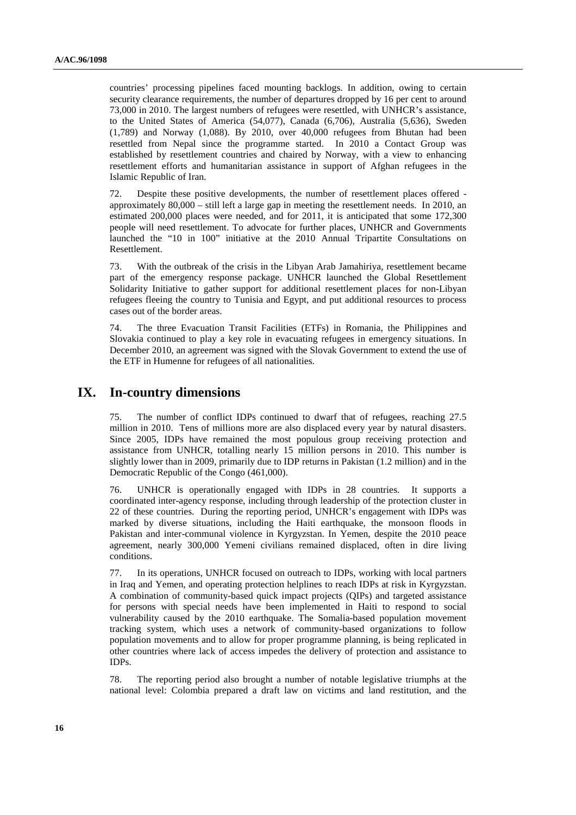countries' processing pipelines faced mounting backlogs. In addition, owing to certain security clearance requirements, the number of departures dropped by 16 per cent to around 73,000 in 2010. The largest numbers of refugees were resettled, with UNHCR's assistance, to the United States of America (54,077), Canada (6,706), Australia (5,636), Sweden (1,789) and Norway (1,088). By 2010, over 40,000 refugees from Bhutan had been resettled from Nepal since the programme started. In 2010 a Contact Group was established by resettlement countries and chaired by Norway, with a view to enhancing resettlement efforts and humanitarian assistance in support of Afghan refugees in the Islamic Republic of Iran.

72. Despite these positive developments, the number of resettlement places offered approximately 80,000 – still left a large gap in meeting the resettlement needs. In 2010, an estimated 200,000 places were needed, and for 2011, it is anticipated that some 172,300 people will need resettlement. To advocate for further places, UNHCR and Governments launched the "10 in 100" initiative at the 2010 Annual Tripartite Consultations on Resettlement.

73. With the outbreak of the crisis in the Libyan Arab Jamahiriya, resettlement became part of the emergency response package. UNHCR launched the Global Resettlement Solidarity Initiative to gather support for additional resettlement places for non-Libyan refugees fleeing the country to Tunisia and Egypt, and put additional resources to process cases out of the border areas.

74. The three Evacuation Transit Facilities (ETFs) in Romania, the Philippines and Slovakia continued to play a key role in evacuating refugees in emergency situations. In December 2010, an agreement was signed with the Slovak Government to extend the use of the ETF in Humenne for refugees of all nationalities.

# **IX. In-country dimensions**

75. The number of conflict IDPs continued to dwarf that of refugees, reaching 27.5 million in 2010. Tens of millions more are also displaced every year by natural disasters. Since 2005, IDPs have remained the most populous group receiving protection and assistance from UNHCR, totalling nearly 15 million persons in 2010. This number is slightly lower than in 2009, primarily due to IDP returns in Pakistan (1.2 million) and in the Democratic Republic of the Congo (461,000).

76. UNHCR is operationally engaged with IDPs in 28 countries. It supports a coordinated inter-agency response, including through leadership of the protection cluster in 22 of these countries. During the reporting period, UNHCR's engagement with IDPs was marked by diverse situations, including the Haiti earthquake, the monsoon floods in Pakistan and inter-communal violence in Kyrgyzstan. In Yemen, despite the 2010 peace agreement, nearly 300,000 Yemeni civilians remained displaced, often in dire living conditions.

77. In its operations, UNHCR focused on outreach to IDPs, working with local partners in Iraq and Yemen, and operating protection helplines to reach IDPs at risk in Kyrgyzstan. A combination of community-based quick impact projects (QIPs) and targeted assistance for persons with special needs have been implemented in Haiti to respond to social vulnerability caused by the 2010 earthquake. The Somalia-based population movement tracking system, which uses a network of community-based organizations to follow population movements and to allow for proper programme planning, is being replicated in other countries where lack of access impedes the delivery of protection and assistance to IDPs.

78. The reporting period also brought a number of notable legislative triumphs at the national level: Colombia prepared a draft law on victims and land restitution, and the